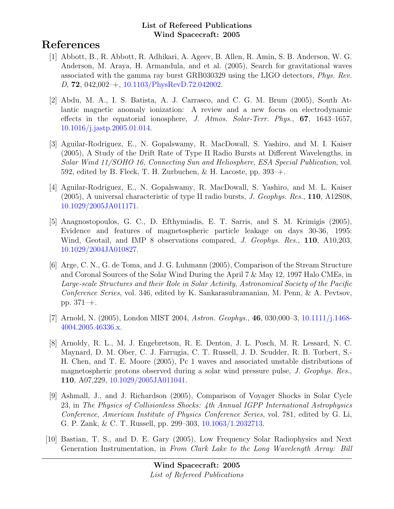# References

- [1] Abbott, B., R. Abbott, R. Adhikari, A. Ageev, B. Allen, R. Amin, S. B. Anderson, W. G. Anderson, M. Araya, H. Armandula, and et al. (2005), Search for gravitational waves associated with the gamma ray burst GRB030329 using the LIGO detectors, Phys. Rev. D, 72, 042,002–+, [10.1103/PhysRevD.72.042002.](http://dx.doi.org/10.1103/PhysRevD.72.042002)
- [2] Abdu, M. A., I. S. Batista, A. J. Carrasco, and C. G. M. Brum (2005), South Atlantic magnetic anomaly ionization: A review and a new focus on electrodynamic effects in the equatorial ionosphere, J. Atmos. Solar-Terr. Phys., 67, 1643–1657, [10.1016/j.jastp.2005.01.014.](http://dx.doi.org/10.1016/j.jastp.2005.01.014)
- [3] Aguilar-Rodriguez, E., N. Gopalswamy, R. MacDowall, S. Yashiro, and M. I. Kaiser (2005), A Study of the Drift Rate of Type II Radio Bursts at Different Wavelengths, in Solar Wind 11/SOHO 16, Connecting Sun and Heliosphere, ESA Special Publication, vol. 592, edited by B. Fleck, T. H. Zurbuchen, & H. Lacoste, pp. 393–+.
- [4] Aguilar-Rodriguez, E., N. Gopalswamy, R. MacDowall, S. Yashiro, and M. L. Kaiser (2005), A universal characteristic of type II radio bursts, J. Geophys. Res., 110, A12S08, [10.1029/2005JA011171.](http://dx.doi.org/10.1029/2005JA011171)
- [5] Anagnostopoulos, G. C., D. Efthymiadis, E. T. Sarris, and S. M. Krimigis (2005), Evidence and features of magnetospheric particle leakage on days 30-36, 1995: Wind, Geotail, and IMP 8 observations compared, J. Geophys. Res., 110, A10,203, [10.1029/2004JA010827.](http://dx.doi.org/10.1029/2004JA010827)
- [6] Arge, C. N., G. de Toma, and J. G. Luhmann (2005), Comparison of the Stream Structure and Coronal Sources of the Solar Wind During the April 7 & May 12, 1997 Halo CMEs, in Large-scale Structures and their Role in Solar Activity, Astronomical Society of the Pacific Conference Series, vol. 346, edited by K. Sankarasubramanian, M. Penn, & A. Pevtsov, pp. 371–+.
- [7] Arnold, N. (2005), London MIST 2004, Astron. Geophys., 46, 030,000–3, [10.1111/j.1468-](http://dx.doi.org/10.1111/j.1468-4004.2005.46336.x) [4004.2005.46336.x.](http://dx.doi.org/10.1111/j.1468-4004.2005.46336.x)
- [8] Arnoldy, R. L., M. J. Engebretson, R. E. Denton, J. L. Posch, M. R. Lessard, N. C. Maynard, D. M. Ober, C. J. Farrugia, C. T. Russell, J. D. Scudder, R. B. Torbert, S.- H. Chen, and T. E. Moore (2005), Pc 1 waves and associated unstable distributions of magnetospheric protons observed during a solar wind pressure pulse, J. Geophys. Res., 110, A07,229, [10.1029/2005JA011041.](http://dx.doi.org/10.1029/2005JA011041)
- [9] Ashmall, J., and J. Richardson (2005), Comparison of Voyager Shocks in Solar Cycle 23, in The Physics of Collisionless Shocks: 4th Annual IGPP International Astrophysics Conference, American Institute of Physics Conference Series, vol. 781, edited by G. Li, G. P. Zank, & C. T. Russell, pp. 299–303, [10.1063/1.2032713.](http://dx.doi.org/10.1063/1.2032713)
- [10] Bastian, T. S., and D. E. Gary (2005), Low Frequency Solar Radiophysics and Next Generation Instrumentation, in From Clark Lake to the Long Wavelength Array: Bill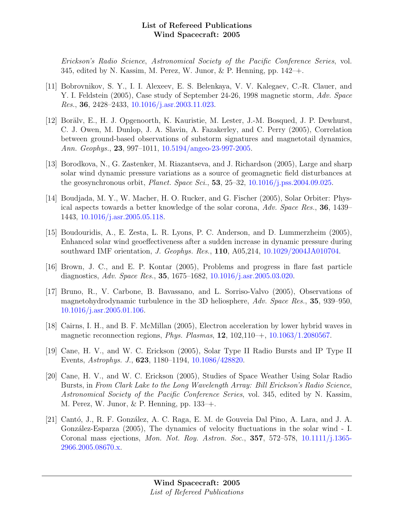Erickson's Radio Science, Astronomical Society of the Pacific Conference Series, vol. 345, edited by N. Kassim, M. Perez, W. Junor, & P. Henning, pp. 142–+.

- [11] Bobrovnikov, S. Y., I. I. Alexeev, E. S. Belenkaya, V. V. Kalegaev, C.-R. Clauer, and Y. I. Feldstein (2005), Case study of September 24-26, 1998 magnetic storm, Adv. Space Res., 36, 2428–2433, [10.1016/j.asr.2003.11.023.](http://dx.doi.org/10.1016/j.asr.2003.11.023)
- [12] Boräly, E., H. J. Opgenoorth, K. Kauristie, M. Lester, J.-M. Bosqued, J. P. Dewhurst, C. J. Owen, M. Dunlop, J. A. Slavin, A. Fazakerley, and C. Perry (2005), Correlation between ground-based observations of substorm signatures and magnetotail dynamics, Ann. Geophys., 23, 997–1011, [10.5194/angeo-23-997-2005.](http://dx.doi.org/10.5194/angeo-23-997-2005)
- [13] Borodkova, N., G. Zastenker, M. Riazantseva, and J. Richardson (2005), Large and sharp solar wind dynamic pressure variations as a source of geomagnetic field disturbances at the geosynchronous orbit, *Planet. Space Sci.*, **53**,  $25-32$ ,  $10.1016/j.$ pss.2004.09.025.
- [14] Boudjada, M. Y., W. Macher, H. O. Rucker, and G. Fischer (2005), Solar Orbiter: Physical aspects towards a better knowledge of the solar corona, Adv. Space Res., 36, 1439– 1443, [10.1016/j.asr.2005.05.118.](http://dx.doi.org/10.1016/j.asr.2005.05.118)
- [15] Boudouridis, A., E. Zesta, L. R. Lyons, P. C. Anderson, and D. Lummerzheim (2005), Enhanced solar wind geoeffectiveness after a sudden increase in dynamic pressure during southward IMF orientation, J. Geophys. Res., 110, A05,214, [10.1029/2004JA010704.](http://dx.doi.org/10.1029/2004JA010704)
- [16] Brown, J. C., and E. P. Kontar (2005), Problems and progress in flare fast particle diagnostics, Adv. Space Res., 35, 1675–1682, [10.1016/j.asr.2005.03.020.](http://dx.doi.org/10.1016/j.asr.2005.03.020)
- [17] Bruno, R., V. Carbone, B. Bavassano, and L. Sorriso-Valvo (2005), Observations of magnetohydrodynamic turbulence in the 3D heliosphere, Adv. Space Res., 35, 939–950, [10.1016/j.asr.2005.01.106.](http://dx.doi.org/10.1016/j.asr.2005.01.106)
- [18] Cairns, I. H., and B. F. McMillan (2005), Electron acceleration by lower hybrid waves in magnetic reconnection regions, Phys. Plasmas, 12, 102,110–+, [10.1063/1.2080567.](http://dx.doi.org/10.1063/1.2080567)
- [19] Cane, H. V., and W. C. Erickson (2005), Solar Type II Radio Bursts and IP Type II Events, Astrophys. J., 623, 1180–1194, [10.1086/428820.](http://dx.doi.org/10.1086/428820)
- [20] Cane, H. V., and W. C. Erickson (2005), Studies of Space Weather Using Solar Radio Bursts, in From Clark Lake to the Long Wavelength Array: Bill Erickson's Radio Science, Astronomical Society of the Pacific Conference Series, vol. 345, edited by N. Kassim, M. Perez, W. Junor, & P. Henning, pp. 133–+.
- [21] Cantó, J., R. F. González, A. C. Raga, E. M. de Gouveia Dal Pino, A. Lara, and J. A. González-Esparza (2005), The dynamics of velocity fluctuations in the solar wind - I. Coronal mass ejections, Mon. Not. Roy. Astron. Soc., 357, 572–578, [10.1111/j.1365-](http://dx.doi.org/10.1111/j.1365-2966.2005.08670.x) [2966.2005.08670.x.](http://dx.doi.org/10.1111/j.1365-2966.2005.08670.x)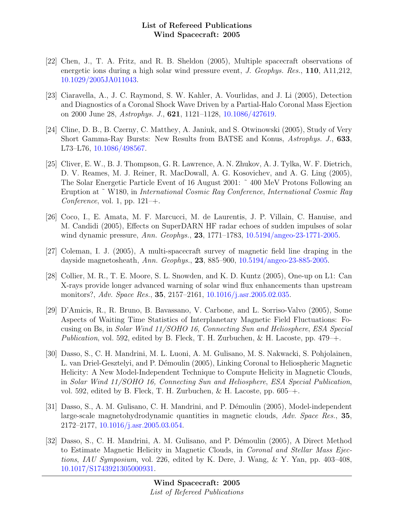- [22] Chen, J., T. A. Fritz, and R. B. Sheldon (2005), Multiple spacecraft observations of energetic ions during a high solar wind pressure event, *J. Geophys. Res.*, **110**, A11,212, [10.1029/2005JA011043.](http://dx.doi.org/10.1029/2005JA011043)
- [23] Ciaravella, A., J. C. Raymond, S. W. Kahler, A. Vourlidas, and J. Li (2005), Detection and Diagnostics of a Coronal Shock Wave Driven by a Partial-Halo Coronal Mass Ejection on 2000 June 28, Astrophys. J., 621, 1121–1128, [10.1086/427619.](http://dx.doi.org/10.1086/427619)
- [24] Cline, D. B., B. Czerny, C. Matthey, A. Janiuk, and S. Otwinowski (2005), Study of Very Short Gamma-Ray Bursts: New Results from BATSE and Konus, Astrophys. J., 633, L73–L76, [10.1086/498567.](http://dx.doi.org/10.1086/498567)
- [25] Cliver, E. W., B. J. Thompson, G. R. Lawrence, A. N. Zhukov, A. J. Tylka, W. F. Dietrich, D. V. Reames, M. J. Reiner, R. MacDowall, A. G. Kosovichev, and A. G. Ling (2005), The Solar Energetic Particle Event of 16 August 2001: ˜ 400 MeV Protons Following an Eruption at ~ W180, in *International Cosmic Ray Conference, International Cosmic Ray* Conference, vol. 1, pp.  $121-+$ .
- [26] Coco, I., E. Amata, M. F. Marcucci, M. de Laurentis, J. P. Villain, C. Hanuise, and M. Candidi (2005), Effects on SuperDARN HF radar echoes of sudden impulses of solar wind dynamic pressure, Ann. Geophys., 23, 1771–1783, [10.5194/angeo-23-1771-2005.](http://dx.doi.org/10.5194/angeo-23-1771-2005)
- [27] Coleman, I. J. (2005), A multi-spacecraft survey of magnetic field line draping in the dayside magnetosheath, Ann. Geophys., 23, 885–900, [10.5194/angeo-23-885-2005.](http://dx.doi.org/10.5194/angeo-23-885-2005)
- [28] Collier, M. R., T. E. Moore, S. L. Snowden, and K. D. Kuntz (2005), One-up on L1: Can X-rays provide longer advanced warning of solar wind flux enhancements than upstream monitors?, Adv. Space Res., 35, 2157–2161, [10.1016/j.asr.2005.02.035.](http://dx.doi.org/10.1016/j.asr.2005.02.035)
- [29] D'Amicis, R., R. Bruno, B. Bavassano, V. Carbone, and L. Sorriso-Valvo (2005), Some Aspects of Waiting Time Statistics of Interplanetary Magnetic Field Fluctuations: Focusing on Bs, in Solar Wind 11/SOHO 16, Connecting Sun and Heliosphere, ESA Special Publication, vol. 592, edited by B. Fleck, T. H. Zurbuchen, & H. Lacoste, pp. 479–+.
- [30] Dasso, S., C. H. Mandrini, M. L. Luoni, A. M. Gulisano, M. S. Nakwacki, S. Pohjolainen, L. van Driel-Gesztelyi, and P. Démoulin (2005), Linking Coronal to Heliospheric Magnetic Helicity: A New Model-Independent Technique to Compute Helicity in Magnetic Clouds, in Solar Wind 11/SOHO 16, Connecting Sun and Heliosphere, ESA Special Publication, vol. 592, edited by B. Fleck, T. H. Zurbuchen, & H. Lacoste, pp. 605–+.
- [31] Dasso, S., A. M. Gulisano, C. H. Mandrini, and P. Démoulin (2005), Model-independent large-scale magnetohydrodynamic quantities in magnetic clouds, Adv. Space Res., 35, 2172–2177, [10.1016/j.asr.2005.03.054.](http://dx.doi.org/10.1016/j.asr.2005.03.054)
- [32] Dasso, S., C. H. Mandrini, A. M. Gulisano, and P. Démoulin (2005), A Direct Method to Estimate Magnetic Helicity in Magnetic Clouds, in Coronal and Stellar Mass Ejections, IAU Symposium, vol. 226, edited by K. Dere, J. Wang, & Y. Yan, pp. 403–408, [10.1017/S1743921305000931.](http://dx.doi.org/10.1017/S1743921305000931)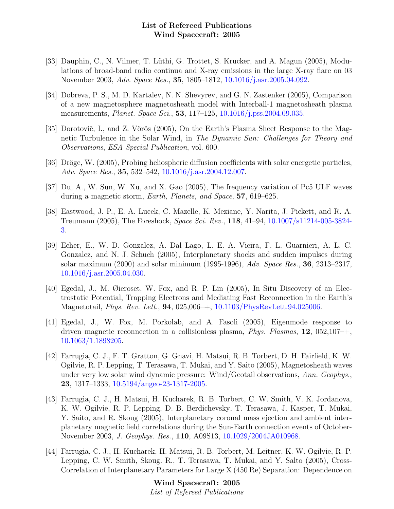- [33] Dauphin, C., N. Vilmer, T. Lüthi, G. Trottet, S. Krucker, and A. Magun (2005), Modulations of broad-band radio continua and X-ray emissions in the large X-ray flare on 03 November 2003, Adv. Space Res., 35, 1805–1812, [10.1016/j.asr.2005.04.092.](http://dx.doi.org/10.1016/j.asr.2005.04.092)
- [34] Dobreva, P. S., M. D. Kartalev, N. N. Shevyrev, and G. N. Zastenker (2005), Comparison of a new magnetosphere magnetosheath model with Interball-1 magnetosheath plasma measurements, Planet. Space Sci., 53, 117–125, [10.1016/j.pss.2004.09.035.](http://dx.doi.org/10.1016/j.pss.2004.09.035)
- [35] Dorotovič, I., and Z. Vörös (2005), On the Earth's Plasma Sheet Response to the Magnetic Turbulence in the Solar Wind, in The Dynamic Sun: Challenges for Theory and Observations, ESA Special Publication, vol. 600.
- [36] Dröge, W. (2005), Probing heliospheric diffusion coefficients with solar energetic particles, Adv. Space Res., 35, 532–542, [10.1016/j.asr.2004.12.007.](http://dx.doi.org/10.1016/j.asr.2004.12.007)
- [37] Du, A., W. Sun, W. Xu, and X. Gao (2005), The frequency variation of Pc5 ULF waves during a magnetic storm, Earth, Planets, and Space, 57, 619–625.
- [38] Eastwood, J. P., E. A. Lucek, C. Mazelle, K. Meziane, Y. Narita, J. Pickett, and R. A. Treumann (2005), The Foreshock, Space Sci. Rev., 118, 41–94, [10.1007/s11214-005-3824-](http://dx.doi.org/10.1007/s11214-005-3824-3) [3.](http://dx.doi.org/10.1007/s11214-005-3824-3)
- [39] Echer, E., W. D. Gonzalez, A. Dal Lago, L. E. A. Vieira, F. L. Guarnieri, A. L. C. Gonzalez, and N. J. Schuch (2005), Interplanetary shocks and sudden impulses during solar maximum  $(2000)$  and solar minimum  $(1995-1996)$ ,  $Adv. Space Res., 36, 2313-2317$ , [10.1016/j.asr.2005.04.030.](http://dx.doi.org/10.1016/j.asr.2005.04.030)
- [40] Egedal, J., M. Øieroset, W. Fox, and R. P. Lin (2005), In Situ Discovery of an Electrostatic Potential, Trapping Electrons and Mediating Fast Reconnection in the Earth's Magnetotail, Phys. Rev. Lett., 94, 025,006–+, [10.1103/PhysRevLett.94.025006.](http://dx.doi.org/10.1103/PhysRevLett.94.025006)
- [41] Egedal, J., W. Fox, M. Porkolab, and A. Fasoli (2005), Eigenmode response to driven magnetic reconnection in a collisionless plasma, *Phys. Plasmas*,  $12$ ,  $052,107$ –+, [10.1063/1.1898205.](http://dx.doi.org/10.1063/1.1898205)
- [42] Farrugia, C. J., F. T. Gratton, G. Gnavi, H. Matsui, R. B. Torbert, D. H. Fairfield, K. W. Ogilvie, R. P. Lepping, T. Terasawa, T. Mukai, and Y. Saito (2005), Magnetosheath waves under very low solar wind dynamic pressure: Wind/Geotail observations, Ann. Geophys., 23, 1317–1333, [10.5194/angeo-23-1317-2005.](http://dx.doi.org/10.5194/angeo-23-1317-2005)
- [43] Farrugia, C. J., H. Matsui, H. Kucharek, R. B. Torbert, C. W. Smith, V. K. Jordanova, K. W. Ogilvie, R. P. Lepping, D. B. Berdichevsky, T. Terasawa, J. Kasper, T. Mukai, Y. Saito, and R. Skoug (2005), Interplanetary coronal mass ejection and ambient interplanetary magnetic field correlations during the Sun-Earth connection events of October-November 2003, J. Geophys. Res., 110, A09S13, [10.1029/2004JA010968.](http://dx.doi.org/10.1029/2004JA010968)
- [44] Farrugia, C. J., H. Kucharek, H. Matsui, R. B. Torbert, M. Leitner, K. W. Ogilvie, R. P. Lepping, C. W. Smith, Skoug. R., T. Terasawa, T. Mukai, and Y. Salto (2005), Cross-Correlation of Interplanetary Parameters for Large X (450 Re) Separation: Dependence on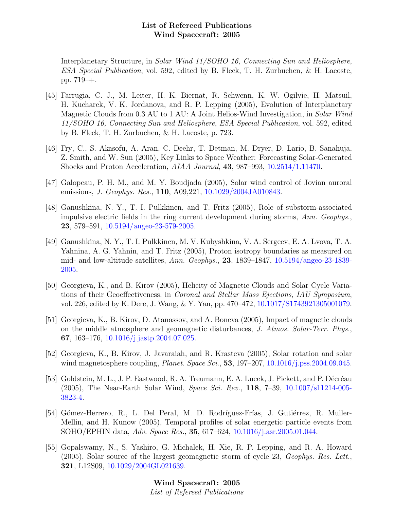Interplanetary Structure, in *Solar Wind 11/SOHO 16, Connecting Sun and Heliosphere*, ESA Special Publication, vol. 592, edited by B. Fleck, T. H. Zurbuchen, & H. Lacoste, pp. 719–+.

- [45] Farrugia, C. J., M. Leiter, H. K. Biernat, R. Schwenn, K. W. Ogilvie, H. Matsuil, H. Kucharek, V. K. Jordanova, and R. P. Lepping (2005), Evolution of Interplanetary Magnetic Clouds from 0.3 AU to 1 AU: A Joint Helios-Wind Investigation, in Solar Wind 11/SOHO 16, Connecting Sun and Heliosphere, ESA Special Publication, vol. 592, edited by B. Fleck, T. H. Zurbuchen, & H. Lacoste, p. 723.
- [46] Fry, C., S. Akasofu, A. Aran, C. Deehr, T. Detman, M. Dryer, D. Lario, B. Sanahuja, Z. Smith, and W. Sun (2005), Key Links to Space Weather: Forecasting Solar-Generated Shocks and Proton Acceleration, AIAA Journal, 43, 987–993, [10.2514/1.11470.](http://dx.doi.org/10.2514/1.11470)
- [47] Galopeau, P. H. M., and M. Y. Boudjada (2005), Solar wind control of Jovian auroral emissions, *J. Geophys. Res.*, **110**, A09, 221,  $10.1029/2004JA010843$ .
- [48] Ganushkina, N. Y., T. I. Pulkkinen, and T. Fritz (2005), Role of substorm-associated impulsive electric fields in the ring current development during storms, Ann. Geophys., 23, 579–591, [10.5194/angeo-23-579-2005.](http://dx.doi.org/10.5194/angeo-23-579-2005)
- [49] Ganushkina, N. Y., T. I. Pulkkinen, M. V. Kubyshkina, V. A. Sergeev, E. A. Lvova, T. A. Yahnina, A. G. Yahnin, and T. Fritz (2005), Proton isotropy boundaries as measured on mid- and low-altitude satellites,  $Ann. Geophys.$ , 23, 1839–1847, [10.5194/angeo-23-1839-](http://dx.doi.org/10.5194/angeo-23-1839-2005) [2005.](http://dx.doi.org/10.5194/angeo-23-1839-2005)
- [50] Georgieva, K., and B. Kirov (2005), Helicity of Magnetic Clouds and Solar Cycle Variations of their Geoeffectiveness, in Coronal and Stellar Mass Ejections, IAU Symposium, vol. 226, edited by K. Dere, J. Wang, & Y. Yan, pp. 470–472, [10.1017/S1743921305001079.](http://dx.doi.org/10.1017/S1743921305001079)
- [51] Georgieva, K., B. Kirov, D. Atanassov, and A. Boneva (2005), Impact of magnetic clouds on the middle atmosphere and geomagnetic disturbances, J. Atmos. Solar-Terr. Phys., 67, 163–176, [10.1016/j.jastp.2004.07.025.](http://dx.doi.org/10.1016/j.jastp.2004.07.025)
- [52] Georgieva, K., B. Kirov, J. Javaraiah, and R. Krasteva (2005), Solar rotation and solar wind magnetosphere coupling, *Planet. Space Sci.*, **53**,  $197-207$ ,  $10.1016$ / $j.$ pss.2004.09.045.
- [53] Goldstein, M. L., J. P. Eastwood, R. A. Treumann, E. A. Lucek, J. Pickett, and P. Décréau (2005), The Near-Earth Solar Wind, Space Sci. Rev., 118, 7–39, [10.1007/s11214-005-](http://dx.doi.org/10.1007/s11214-005-3823-4) [3823-4.](http://dx.doi.org/10.1007/s11214-005-3823-4)
- [54] Gómez-Herrero, R., L. Del Peral, M. D. Rodríguez-Frías, J. Gutiérrez, R. Muller-Mellin, and H. Kunow (2005), Temporal profiles of solar energetic particle events from SOHO/EPHIN data, Adv. Space Res., 35, 617–624, [10.1016/j.asr.2005.01.044.](http://dx.doi.org/10.1016/j.asr.2005.01.044)
- [55] Gopalswamy, N., S. Yashiro, G. Michalek, H. Xie, R. P. Lepping, and R. A. Howard (2005), Solar source of the largest geomagnetic storm of cycle 23, Geophys. Res. Lett., 321, L12S09, [10.1029/2004GL021639.](http://dx.doi.org/10.1029/2004GL021639)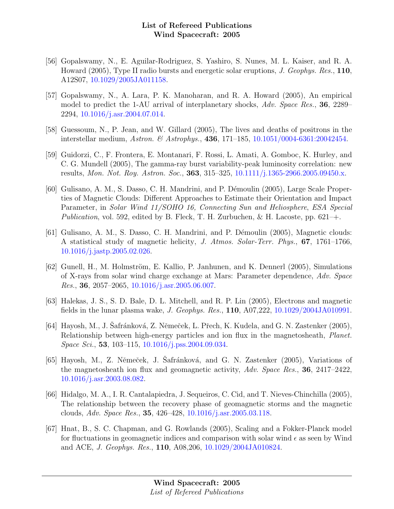- [56] Gopalswamy, N., E. Aguilar-Rodriguez, S. Yashiro, S. Nunes, M. L. Kaiser, and R. A. Howard (2005), Type II radio bursts and energetic solar eruptions, J. Geophys. Res., 110, A12S07, [10.1029/2005JA011158.](http://dx.doi.org/10.1029/2005JA011158)
- [57] Gopalswamy, N., A. Lara, P. K. Manoharan, and R. A. Howard (2005), An empirical model to predict the 1-AU arrival of interplanetary shocks, Adv. Space Res., 36, 2289– 2294, [10.1016/j.asr.2004.07.014.](http://dx.doi.org/10.1016/j.asr.2004.07.014)
- [58] Guessoum, N., P. Jean, and W. Gillard (2005), The lives and deaths of positrons in the interstellar medium, Astron. & Astrophys., 436, 171–185, [10.1051/0004-6361:20042454.](http://dx.doi.org/10.1051/0004-6361:20042454)
- [59] Guidorzi, C., F. Frontera, E. Montanari, F. Rossi, L. Amati, A. Gomboc, K. Hurley, and C. G. Mundell (2005), The gamma-ray burst variability-peak luminosity correlation: new results, Mon. Not. Roy. Astron. Soc., 363, 315–325, [10.1111/j.1365-2966.2005.09450.x.](http://dx.doi.org/10.1111/j.1365-2966.2005.09450.x)
- [60] Gulisano, A. M., S. Dasso, C. H. Mandrini, and P. Démoulin (2005), Large Scale Properties of Magnetic Clouds: Different Approaches to Estimate their Orientation and Impact Parameter, in Solar Wind 11/SOHO 16, Connecting Sun and Heliosphere, ESA Special Publication, vol. 592, edited by B. Fleck, T. H. Zurbuchen, & H. Lacoste, pp. 621–+.
- [61] Gulisano, A. M., S. Dasso, C. H. Mandrini, and P. Démoulin (2005), Magnetic clouds: A statistical study of magnetic helicity, J. Atmos. Solar-Terr. Phys., 67, 1761–1766, [10.1016/j.jastp.2005.02.026.](http://dx.doi.org/10.1016/j.jastp.2005.02.026)
- [62] Gunell, H., M. Holmström, E. Kallio, P. Janhunen, and K. Dennerl (2005), Simulations of X-rays from solar wind charge exchange at Mars: Parameter dependence, Adv. Space Res., 36, 2057–2065, [10.1016/j.asr.2005.06.007.](http://dx.doi.org/10.1016/j.asr.2005.06.007)
- [63] Halekas, J. S., S. D. Bale, D. L. Mitchell, and R. P. Lin (2005), Electrons and magnetic fields in the lunar plasma wake, J. Geophys. Res., 110, A07,222, [10.1029/2004JA010991.](http://dx.doi.org/10.1029/2004JA010991)
- $[64]$  Hayosh, M., J. Safránková, Z. Němeček, L. Přech, K. Kudela, and G. N. Zastenker (2005), Relationship between high-energy particles and ion flux in the magnetosheath, Planet. Space Sci., 53, 103–115, [10.1016/j.pss.2004.09.034.](http://dx.doi.org/10.1016/j.pss.2004.09.034)
- [65] Hayosh, M., Z. Němeček, J. Šafránková, and G. N. Zastenker (2005), Variations of the magnetosheath ion flux and geomagnetic activity, Adv. Space Res., 36, 2417–2422, [10.1016/j.asr.2003.08.082.](http://dx.doi.org/10.1016/j.asr.2003.08.082)
- [66] Hidalgo, M. A., I. R. Cantalapiedra, J. Sequeiros, C. Cid, and T. Nieves-Chinchilla (2005), The relationship between the recovery phase of geomagnetic storms and the magnetic clouds, Adv. Space Res., 35, 426–428, [10.1016/j.asr.2005.03.118.](http://dx.doi.org/10.1016/j.asr.2005.03.118)
- [67] Hnat, B., S. C. Chapman, and G. Rowlands (2005), Scaling and a Fokker-Planck model for fluctuations in geomagnetic indices and comparison with solar wind  $\epsilon$  as seen by Wind and ACE, J. Geophys. Res., 110, A08,206, [10.1029/2004JA010824.](http://dx.doi.org/10.1029/2004JA010824)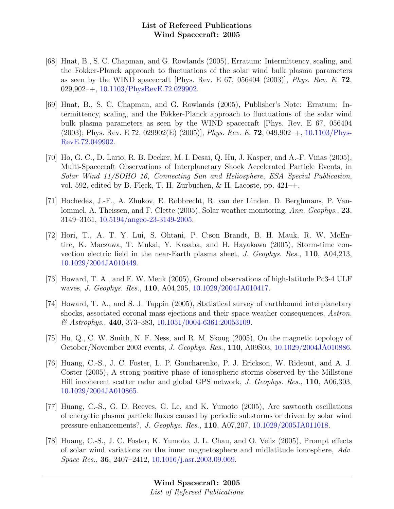- [68] Hnat, B., S. C. Chapman, and G. Rowlands (2005), Erratum: Intermittency, scaling, and the Fokker-Planck approach to fluctuations of the solar wind bulk plasma parameters as seen by the WIND spacecraft [Phys. Rev. E 67, 056404 (2003)], *Phys. Rev. E*, **72**, 029,902–+, [10.1103/PhysRevE.72.029902.](http://dx.doi.org/10.1103/PhysRevE.72.029902)
- [69] Hnat, B., S. C. Chapman, and G. Rowlands (2005), Publisher's Note: Erratum: Intermittency, scaling, and the Fokker-Planck approach to fluctuations of the solar wind bulk plasma parameters as seen by the WIND spacecraft [Phys. Rev. E 67, 056404  $(2003)$ ; Phys. Rev. E 72,  $029902(E)$   $(2005)$ , *Phys. Rev. E*, **72**,  $049,902<sup>+</sup>$ ,  $10.1103/Phys-$ [RevE.72.049902.](http://dx.doi.org/10.1103/PhysRevE.72.049902)
- [70] Ho, G. C., D. Lario, R. B. Decker, M. I. Desai, Q. Hu, J. Kasper, and A.-F. Viñas (2005), Multi-Spacecraft Observations of Interplanetary Shock Accelerated Particle Events, in Solar Wind 11/SOHO 16, Connecting Sun and Heliosphere, ESA Special Publication, vol. 592, edited by B. Fleck, T. H. Zurbuchen,  $\&$  H. Lacoste, pp. 421–+.
- [71] Hochedez, J.-F., A. Zhukov, E. Robbrecht, R. van der Linden, D. Berghmans, P. Vanlommel, A. Theissen, and F. Clette (2005), Solar weather monitoring, Ann. Geophys., 23, 3149–3161, [10.5194/angeo-23-3149-2005.](http://dx.doi.org/10.5194/angeo-23-3149-2005)
- [72] Hori, T., A. T. Y. Lui, S. Ohtani, P. C:son Brandt, B. H. Mauk, R. W. McEntire, K. Maezawa, T. Mukai, Y. Kasaba, and H. Hayakawa (2005), Storm-time convection electric field in the near-Earth plasma sheet, J. Geophys. Res., 110, A04,213, [10.1029/2004JA010449.](http://dx.doi.org/10.1029/2004JA010449)
- [73] Howard, T. A., and F. W. Menk (2005), Ground observations of high-latitude Pc3-4 ULF waves, J. Geophys. Res., 110, A04,205, [10.1029/2004JA010417.](http://dx.doi.org/10.1029/2004JA010417)
- [74] Howard, T. A., and S. J. Tappin (2005), Statistical survey of earthbound interplanetary shocks, associated coronal mass ejections and their space weather consequences, Astron.  $\&$  Astrophys., 440, 373-383, [10.1051/0004-6361:20053109.](http://dx.doi.org/10.1051/0004-6361:20053109)
- [75] Hu, Q., C. W. Smith, N. F. Ness, and R. M. Skoug (2005), On the magnetic topology of October/November 2003 events, J. Geophys. Res., 110, A09S03, [10.1029/2004JA010886.](http://dx.doi.org/10.1029/2004JA010886)
- [76] Huang, C.-S., J. C. Foster, L. P. Goncharenko, P. J. Erickson, W. Rideout, and A. J. Coster (2005), A strong positive phase of ionospheric storms observed by the Millstone Hill incoherent scatter radar and global GPS network, J. Geophys. Res., 110, A06,303, [10.1029/2004JA010865.](http://dx.doi.org/10.1029/2004JA010865)
- [77] Huang, C.-S., G. D. Reeves, G. Le, and K. Yumoto (2005), Are sawtooth oscillations of energetic plasma particle fluxes caused by periodic substorms or driven by solar wind pressure enhancements?, J. Geophys. Res., 110, A07,207, [10.1029/2005JA011018.](http://dx.doi.org/10.1029/2005JA011018)
- [78] Huang, C.-S., J. C. Foster, K. Yumoto, J. L. Chau, and O. Veliz (2005), Prompt effects of solar wind variations on the inner magnetosphere and midlatitude ionosphere, Adv. Space Res., 36, 2407–2412, [10.1016/j.asr.2003.09.069.](http://dx.doi.org/10.1016/j.asr.2003.09.069)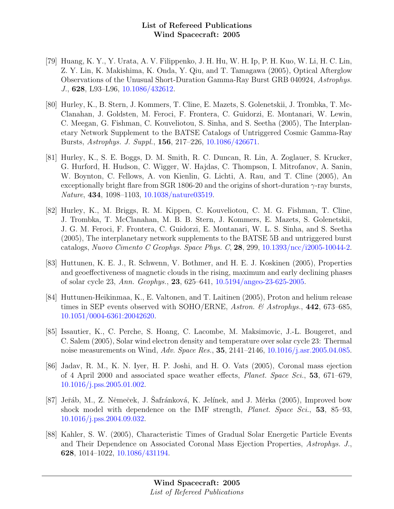- [79] Huang, K. Y., Y. Urata, A. V. Filippenko, J. H. Hu, W. H. Ip, P. H. Kuo, W. Li, H. C. Lin, Z. Y. Lin, K. Makishima, K. Onda, Y. Qiu, and T. Tamagawa (2005), Optical Afterglow Observations of the Unusual Short-Duration Gamma-Ray Burst GRB 040924, Astrophys. J., 628, L93–L96, [10.1086/432612.](http://dx.doi.org/10.1086/432612)
- [80] Hurley, K., B. Stern, J. Kommers, T. Cline, E. Mazets, S. Golenetskii, J. Trombka, T. Mc-Clanahan, J. Goldsten, M. Feroci, F. Frontera, C. Guidorzi, E. Montanari, W. Lewin, C. Meegan, G. Fishman, C. Kouveliotou, S. Sinha, and S. Seetha (2005), The Interplanetary Network Supplement to the BATSE Catalogs of Untriggered Cosmic Gamma-Ray Bursts, Astrophys. J. Suppl., 156, 217–226, [10.1086/426671.](http://dx.doi.org/10.1086/426671)
- [81] Hurley, K., S. E. Boggs, D. M. Smith, R. C. Duncan, R. Lin, A. Zoglauer, S. Krucker, G. Hurford, H. Hudson, C. Wigger, W. Hajdas, C. Thompson, I. Mitrofanov, A. Sanin, W. Boynton, C. Fellows, A. von Kienlin, G. Lichti, A. Rau, and T. Cline (2005), An exceptionally bright flare from SGR 1806-20 and the origins of short-duration  $\gamma$ -ray bursts, Nature, 434, 1098–1103, [10.1038/nature03519.](http://dx.doi.org/10.1038/nature03519)
- [82] Hurley, K., M. Briggs, R. M. Kippen, C. Kouveliotou, C. M. G. Fishman, T. Cline, J. Trombka, T. McClanahan, M. B. B. Stern, J. Kommers, E. Mazets, S. Golenetskii, J. G. M. Feroci, F. Frontera, C. Guidorzi, E. Montanari, W. L. S. Sinha, and S. Seetha (2005), The interplanetary network supplements to the BATSE 5B and untriggered burst catalogs, Nuovo Cimento C Geophys. Space Phys. C, 28, 299, [10.1393/ncc/i2005-10044-2.](http://dx.doi.org/10.1393/ncc/i2005-10044-2)
- [83] Huttunen, K. E. J., R. Schwenn, V. Bothmer, and H. E. J. Koskinen (2005), Properties and geoeffectiveness of magnetic clouds in the rising, maximum and early declining phases of solar cycle 23, Ann. Geophys., 23, 625–641, [10.5194/angeo-23-625-2005.](http://dx.doi.org/10.5194/angeo-23-625-2005)
- [84] Huttunen-Heikinmaa, K., E. Valtonen, and T. Laitinen (2005), Proton and helium release times in SEP events observed with SOHO/ERNE, Astron. & Astrophys.,  $442$ , 673–685, [10.1051/0004-6361:20042620.](http://dx.doi.org/10.1051/0004-6361:20042620)
- [85] Issautier, K., C. Perche, S. Hoang, C. Lacombe, M. Maksimovic, J.-L. Bougeret, and C. Salem (2005), Solar wind electron density and temperature over solar cycle 23: Thermal noise measurements on Wind, Adv. Space Res., 35, 2141–2146, [10.1016/j.asr.2005.04.085.](http://dx.doi.org/10.1016/j.asr.2005.04.085)
- [86] Jadav, R. M., K. N. Iyer, H. P. Joshi, and H. O. Vats (2005), Coronal mass ejection of 4 April 2000 and associated space weather effects, Planet. Space Sci., 53, 671–679, [10.1016/j.pss.2005.01.002.](http://dx.doi.org/10.1016/j.pss.2005.01.002)
- [87] Jeřáb, M., Z. Němeček, J. Šafránková, K. Jelínek, and J. Měrka (2005), Improved bow shock model with dependence on the IMF strength, *Planet. Space Sci.*, 53, 85–93, [10.1016/j.pss.2004.09.032.](http://dx.doi.org/10.1016/j.pss.2004.09.032)
- [88] Kahler, S. W. (2005), Characteristic Times of Gradual Solar Energetic Particle Events and Their Dependence on Associated Coronal Mass Ejection Properties, Astrophys. J., 628, 1014–1022, [10.1086/431194.](http://dx.doi.org/10.1086/431194)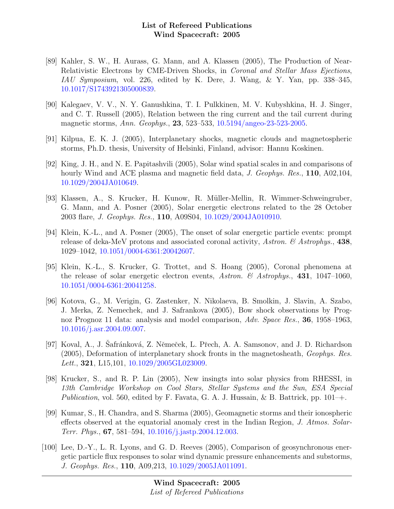- [89] Kahler, S. W., H. Aurass, G. Mann, and A. Klassen (2005), The Production of Near-Relativistic Electrons by CME-Driven Shocks, in Coronal and Stellar Mass Ejections, IAU Symposium, vol. 226, edited by K. Dere, J. Wang, & Y. Yan, pp. 338–345, [10.1017/S1743921305000839.](http://dx.doi.org/10.1017/S1743921305000839)
- [90] Kalegaev, V. V., N. Y. Ganushkina, T. I. Pulkkinen, M. V. Kubyshkina, H. J. Singer, and C. T. Russell (2005), Relation between the ring current and the tail current during magnetic storms, Ann. Geophys., 23, 523–533, [10.5194/angeo-23-523-2005.](http://dx.doi.org/10.5194/angeo-23-523-2005)
- [91] Kilpua, E. K. J. (2005), Interplanetary shocks, magnetic clouds and magnetospheric storms, Ph.D. thesis, University of Helsinki, Finland, advisor: Hannu Koskinen.
- [92] King, J. H., and N. E. Papitashvili (2005), Solar wind spatial scales in and comparisons of hourly Wind and ACE plasma and magnetic field data, J. Geophys. Res., 110, A02,104, [10.1029/2004JA010649.](http://dx.doi.org/10.1029/2004JA010649)
- [93] Klassen, A., S. Krucker, H. Kunow, R. M¨uller-Mellin, R. Wimmer-Schweingruber, G. Mann, and A. Posner (2005), Solar energetic electrons related to the 28 October 2003 flare, J. Geophys. Res., 110, A09S04, [10.1029/2004JA010910.](http://dx.doi.org/10.1029/2004JA010910)
- [94] Klein, K.-L., and A. Posner (2005), The onset of solar energetic particle events: prompt release of deka-MeV protons and associated coronal activity, Astron.  $\mathscr B$  Astrophys., 438, 1029–1042, [10.1051/0004-6361:20042607.](http://dx.doi.org/10.1051/0004-6361:20042607)
- [95] Klein, K.-L., S. Krucker, G. Trottet, and S. Hoang (2005), Coronal phenomena at the release of solar energetic electron events, Astron.  $\mathscr{C}$  Astrophys., 431, 1047-1060, [10.1051/0004-6361:20041258.](http://dx.doi.org/10.1051/0004-6361:20041258)
- [96] Kotova, G., M. Verigin, G. Zastenker, N. Nikolaeva, B. Smolkin, J. Slavin, A. Szabo, J. Merka, Z. Nemechek, and J. Safrankova (2005), Bow shock observations by Prognoz Prognoz 11 data: analysis and model comparison, Adv. Space Res., 36, 1958–1963, [10.1016/j.asr.2004.09.007.](http://dx.doi.org/10.1016/j.asr.2004.09.007)
- [97] Koval, A., J. Šafránková, Z. Němeček, L. Přech, A. A. Samsonov, and J. D. Richardson (2005), Deformation of interplanetary shock fronts in the magnetosheath, Geophys. Res. Lett., **321**, L15,101, [10.1029/2005GL023009.](http://dx.doi.org/10.1029/2005GL023009)
- [98] Krucker, S., and R. P. Lin (2005), New insingts into solar physics from RHESSI, in 13th Cambridge Workshop on Cool Stars, Stellar Systems and the Sun, ESA Special Publication, vol. 560, edited by F. Favata, G. A. J. Hussain, & B. Battrick, pp.  $101 - +$ .
- [99] Kumar, S., H. Chandra, and S. Sharma (2005), Geomagnetic storms and their ionospheric effects observed at the equatorial anomaly crest in the Indian Region, J. Atmos. Solar-Terr. Phys., 67, 581–594, [10.1016/j.jastp.2004.12.003.](http://dx.doi.org/10.1016/j.jastp.2004.12.003)
- [100] Lee, D.-Y., L. R. Lyons, and G. D. Reeves (2005), Comparison of geosynchronous energetic particle flux responses to solar wind dynamic pressure enhancements and substorms, J. Geophys. Res., 110, A09,213, [10.1029/2005JA011091.](http://dx.doi.org/10.1029/2005JA011091)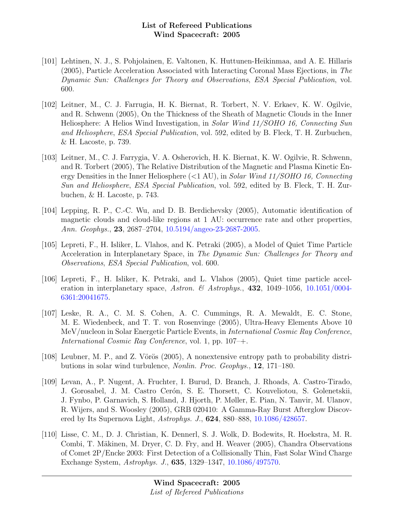- [101] Lehtinen, N. J., S. Pohjolainen, E. Valtonen, K. Huttunen-Heikinmaa, and A. E. Hillaris (2005), Particle Acceleration Associated with Interacting Coronal Mass Ejections, in The Dynamic Sun: Challenges for Theory and Observations, ESA Special Publication, vol. 600.
- [102] Leitner, M., C. J. Farrugia, H. K. Biernat, R. Torbert, N. V. Erkaev, K. W. Ogilvie, and R. Schwenn (2005), On the Thickness of the Sheath of Magnetic Clouds in the Inner Heliosphere: A Helios Wind Investigation, in Solar Wind 11/SOHO 16, Connecting Sun and Heliosphere, ESA Special Publication, vol. 592, edited by B. Fleck, T. H. Zurbuchen, & H. Lacoste, p. 739.
- [103] Leitner, M., C. J. Farrygia, V. A. Osherovich, H. K. Biernat, K. W. Ogilvie, R. Schwenn, and R. Torbert (2005), The Relative Distribution of the Magnetic and Plasma Kinetic Energy Densities in the Inner Heliosphere  $(<1 \text{ AU})$ , in Solar Wind 11/SOHO 16, Connecting Sun and Heliosphere, ESA Special Publication, vol. 592, edited by B. Fleck, T. H. Zurbuchen, & H. Lacoste, p. 743.
- [104] Lepping, R. P., C.-C. Wu, and D. B. Berdichevsky (2005), Automatic identification of magnetic clouds and cloud-like regions at 1 AU: occurrence rate and other properties, Ann. Geophys., 23, 2687–2704, [10.5194/angeo-23-2687-2005.](http://dx.doi.org/10.5194/angeo-23-2687-2005)
- [105] Lepreti, F., H. Isliker, L. Vlahos, and K. Petraki (2005), a Model of Quiet Time Particle Acceleration in Interplanetary Space, in The Dynamic Sun: Challenges for Theory and Observations, ESA Special Publication, vol. 600.
- [106] Lepreti, F., H. Isliker, K. Petraki, and L. Vlahos (2005), Quiet time particle acceleration in interplanetary space, Astron. & Astrophys.,  $432$ , 1049-1056, [10.1051/0004-](http://dx.doi.org/10.1051/0004-6361:20041675) [6361:20041675.](http://dx.doi.org/10.1051/0004-6361:20041675)
- [107] Leske, R. A., C. M. S. Cohen, A. C. Cummings, R. A. Mewaldt, E. C. Stone, M. E. Wiedenbeck, and T. T. von Rosenvinge (2005), Ultra-Heavy Elements Above 10 MeV/nucleon in Solar Energetic Particle Events, in International Cosmic Ray Conference, International Cosmic Ray Conference, vol. 1, pp. 107–+.
- [108] Leubner, M. P., and Z. Vörös (2005), A nonextensive entropy path to probability distributions in solar wind turbulence, Nonlin. Proc. Geophys., 12, 171–180.
- [109] Levan, A., P. Nugent, A. Fruchter, I. Burud, D. Branch, J. Rhoads, A. Castro-Tirado, J. Gorosabel, J. M. Castro Cerón, S. E. Thorsett, C. Kouveliotou, S. Golenetskii, J. Fynbo, P. Garnavich, S. Holland, J. Hjorth, P. Møller, E. Pian, N. Tanvir, M. Ulanov, R. Wijers, and S. Woosley (2005), GRB 020410: A Gamma-Ray Burst Afterglow Discovered by Its Supernova Light, Astrophys. J., 624, 880–888, [10.1086/428657.](http://dx.doi.org/10.1086/428657)
- [110] Lisse, C. M., D. J. Christian, K. Dennerl, S. J. Wolk, D. Bodewits, R. Hoekstra, M. R. Combi, T. Mäkinen, M. Dryer, C. D. Fry, and H. Weaver (2005), Chandra Observations of Comet 2P/Encke 2003: First Detection of a Collisionally Thin, Fast Solar Wind Charge Exchange System, Astrophys. J., 635, 1329–1347, [10.1086/497570.](http://dx.doi.org/10.1086/497570)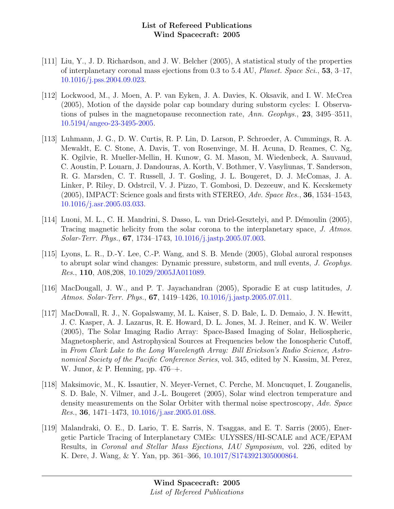- [111] Liu, Y., J. D. Richardson, and J. W. Belcher (2005), A statistical study of the properties of interplanetary coronal mass ejections from 0.3 to 5.4 AU, Planet. Space Sci., 53, 3–17, [10.1016/j.pss.2004.09.023.](http://dx.doi.org/10.1016/j.pss.2004.09.023)
- [112] Lockwood, M., J. Moen, A. P. van Eyken, J. A. Davies, K. Oksavik, and I. W. McCrea (2005), Motion of the dayside polar cap boundary during substorm cycles: I. Observations of pulses in the magnetopause reconnection rate, Ann. Geophys., 23, 3495–3511, [10.5194/angeo-23-3495-2005.](http://dx.doi.org/10.5194/angeo-23-3495-2005)
- [113] Luhmann, J. G., D. W. Curtis, R. P. Lin, D. Larson, P. Schroeder, A. Cummings, R. A. Mewaldt, E. C. Stone, A. Davis, T. von Rosenvinge, M. H. Acuna, D. Reames, C. Ng, K. Ogilvie, R. Mueller-Mellin, H. Kunow, G. M. Mason, M. Wiedenbeck, A. Sauvaud, C. Aoustin, P. Louarn, J. Dandouras, A. Korth, V. Bothmer, V. Vasyliunas, T. Sanderson, R. G. Marsden, C. T. Russell, J. T. Gosling, J. L. Bougeret, D. J. McComas, J. A. Linker, P. Riley, D. Odstrcil, V. J. Pizzo, T. Gombosi, D. Dezeeuw, and K. Kecskemety (2005), IMPACT: Science goals and firsts with STEREO, Adv. Space Res., 36, 1534–1543, [10.1016/j.asr.2005.03.033.](http://dx.doi.org/10.1016/j.asr.2005.03.033)
- [114] Luoni, M. L., C. H. Mandrini, S. Dasso, L. van Driel-Gesztelyi, and P. Démoulin (2005), Tracing magnetic helicity from the solar corona to the interplanetary space, J. Atmos. Solar-Terr. Phys., 67, 1734–1743, [10.1016/j.jastp.2005.07.003.](http://dx.doi.org/10.1016/j.jastp.2005.07.003)
- [115] Lyons, L. R., D.-Y. Lee, C.-P. Wang, and S. B. Mende (2005), Global auroral responses to abrupt solar wind changes: Dynamic pressure, substorm, and null events, J. Geophys. Res., 110, A08,208, [10.1029/2005JA011089.](http://dx.doi.org/10.1029/2005JA011089)
- [116] MacDougall, J. W., and P. T. Jayachandran (2005), Sporadic E at cusp latitudes, J. Atmos. Solar-Terr. Phys., **67**, 1419–1426, [10.1016/j.jastp.2005.07.011.](http://dx.doi.org/10.1016/j.jastp.2005.07.011)
- [117] MacDowall, R. J., N. Gopalswamy, M. L. Kaiser, S. D. Bale, L. D. Demaio, J. N. Hewitt, J. C. Kasper, A. J. Lazarus, R. E. Howard, D. L. Jones, M. J. Reiner, and K. W. Weiler (2005), The Solar Imaging Radio Array: Space-Based Imaging of Solar, Heliospheric, Magnetospheric, and Astrophysical Sources at Frequencies below the Ionospheric Cutoff, in From Clark Lake to the Long Wavelength Array: Bill Erickson's Radio Science, Astronomical Society of the Pacific Conference Series, vol. 345, edited by N. Kassim, M. Perez, W. Junor, & P. Henning, pp. 476–+.
- [118] Maksimovic, M., K. Issautier, N. Meyer-Vernet, C. Perche, M. Moncuquet, I. Zouganelis, S. D. Bale, N. Vilmer, and J.-L. Bougeret (2005), Solar wind electron temperature and density measurements on the Solar Orbiter with thermal noise spectroscopy, Adv. Space Res., 36, 1471–1473, [10.1016/j.asr.2005.01.088.](http://dx.doi.org/10.1016/j.asr.2005.01.088)
- [119] Malandraki, O. E., D. Lario, T. E. Sarris, N. Tsaggas, and E. T. Sarris (2005), Energetic Particle Tracing of Interplanetary CMEs: ULYSSES/HI-SCALE and ACE/EPAM Results, in Coronal and Stellar Mass Ejections, IAU Symposium, vol. 226, edited by K. Dere, J. Wang, & Y. Yan, pp. 361–366, [10.1017/S1743921305000864.](http://dx.doi.org/10.1017/S1743921305000864)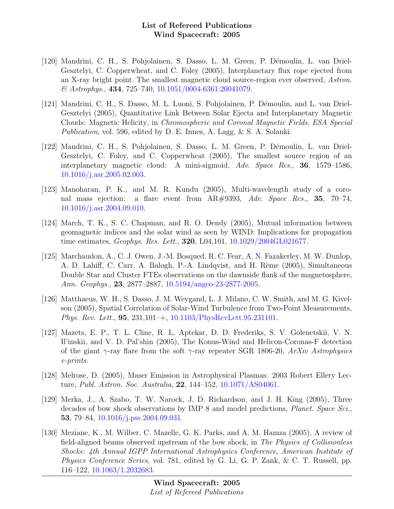- [120] Mandrini, C. H., S. Pohjolainen, S. Dasso, L. M. Green, P. D´emoulin, L. van Driel-Gesztelyi, C. Copperwheat, and C. Foley (2005), Interplanetary flux rope ejected from an X-ray bright point. The smallest magnetic cloud source-region ever observed, Astron. & Astrophys., 434, 725–740, [10.1051/0004-6361:20041079.](http://dx.doi.org/10.1051/0004-6361:20041079)
- [121] Mandrini, C. H., S. Dasso, M. L. Luoni, S. Pohjolainen, P. Démoulin, and L. van Driel-Gesztelyi (2005), Quantitative Link Between Solar Ejecta and Interplanetary Magnetic Clouds: Magnetic Helicity, in Chromospheric and Coronal Magnetic Fields, ESA Special Publication, vol. 596, edited by D. E. Innes, A. Lagg, & S. A. Solanki.
- [122] Mandrini, C. H., S. Pohjolainen, S. Dasso, L. M. Green, P. D´emoulin, L. van Driel-Gesztelyi, C. Foley, and C. Copperwheat (2005), The smallest source region of an interplanetary magnetic cloud: A mini-sigmoid, Adv. Space Res., 36, 1579–1586, [10.1016/j.asr.2005.02.003.](http://dx.doi.org/10.1016/j.asr.2005.02.003)
- [123] Manoharan, P. K., and M. R. Kundu (2005), Multi-wavelength study of a coronal mass ejection: a flare event from AR#9393, Adv. Space Res., 35, 70–74, [10.1016/j.asr.2004.09.010.](http://dx.doi.org/10.1016/j.asr.2004.09.010)
- [124] March, T. K., S. C. Chapman, and R. O. Dendy (2005), Mutual information between geomagnetic indices and the solar wind as seen by WIND: Implications for propagation time estimates, Geophys. Res. Lett., 320, L04,101, [10.1029/2004GL021677.](http://dx.doi.org/10.1029/2004GL021677)
- [125] Marchaudon, A., C. J. Owen, J.-M. Bosqued, R. C. Fear, A. N. Fazakerley, M. W. Dunlop, A. D. Lahiff, C. Carr, A. Balogh, P.-A. Lindqvist, and H. Rème (2005), Simultaneous Double Star and Cluster FTEs observations on the dawnside flank of the magnetosphere, Ann. Geophys., 23, 2877–2887, [10.5194/angeo-23-2877-2005.](http://dx.doi.org/10.5194/angeo-23-2877-2005)
- [126] Matthaeus, W. H., S. Dasso, J. M. Weygand, L. J. Milano, C. W. Smith, and M. G. Kivelson (2005), Spatial Correlation of Solar-Wind Turbulence from Two-Point Measurements, Phys. Rev. Lett., 95, 231,101–+, [10.1103/PhysRevLett.95.231101.](http://dx.doi.org/10.1103/PhysRevLett.95.231101)
- [127] Mazets, E. P., T. L. Cline, R. L. Aptekar, D. D. Frederiks, S. V. Golenetskii, V. N. Il'inskii, and V. D. Pal'shin (2005), The Konus-Wind and Helicon-Coronas-F detection of the giant  $\gamma$ -ray flare from the soft  $\gamma$ -ray repeater SGR 1806-20, ArXiv Astrophysics e-prints.
- [128] Melrose, D. (2005), Maser Emission in Astrophysical Plasmas: 2003 Robert Ellery Lecture, Publ. Astron. Soc. Australia, 22, 144–152, [10.1071/AS04061.](http://dx.doi.org/10.1071/AS04061)
- [129] Merka, J., A. Szabo, T. W. Narock, J. D. Richardson, and J. H. King (2005), Three decades of bow shock observations by IMP 8 and model predictions, *Planet. Space Sci.*, 53, 79–84, [10.1016/j.pss.2004.09.031.](http://dx.doi.org/10.1016/j.pss.2004.09.031)
- [130] Meziane, K., M. Wilber, C. Mazelle, G. K. Parks, and A. M. Hamza (2005), A review of field-aligned beams observed upstream of the bow shock, in The Physics of Collisionless Shocks: 4th Annual IGPP International Astrophysics Conference, American Institute of Physics Conference Series, vol. 781, edited by G. Li, G. P. Zank, & C. T. Russell, pp. 116–122, [10.1063/1.2032683.](http://dx.doi.org/10.1063/1.2032683)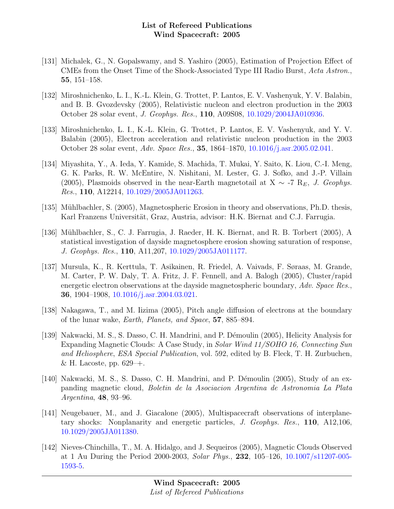- [131] Michalek, G., N. Gopalswamy, and S. Yashiro (2005), Estimation of Projection Effect of CMEs from the Onset Time of the Shock-Associated Type III Radio Burst, Acta Astron., 55, 151–158.
- [132] Miroshnichenko, L. I., K.-L. Klein, G. Trottet, P. Lantos, E. V. Vashenyuk, Y. V. Balabin, and B. B. Gvozdevsky (2005), Relativistic nucleon and electron production in the 2003 October 28 solar event, J. Geophys. Res., 110, A09S08, [10.1029/2004JA010936.](http://dx.doi.org/10.1029/2004JA010936)
- [133] Miroshnichenko, L. I., K.-L. Klein, G. Trottet, P. Lantos, E. V. Vashenyuk, and Y. V. Balabin (2005), Electron acceleration and relativistic nucleon production in the 2003 October 28 solar event, Adv. Space Res., 35, 1864–1870, [10.1016/j.asr.2005.02.041.](http://dx.doi.org/10.1016/j.asr.2005.02.041)
- [134] Miyashita, Y., A. Ieda, Y. Kamide, S. Machida, T. Mukai, Y. Saito, K. Liou, C.-I. Meng, G. K. Parks, R. W. McEntire, N. Nishitani, M. Lester, G. J. Sofko, and J.-P. Villain (2005), Plasmoids observed in the near-Earth magnetotail at X  $\sim$  -7 R<sub>E</sub>, J. Geophys. Res., 110, A12214, [10.1029/2005JA011263.](http://dx.doi.org/10.1029/2005JA011263)
- [135] Mühlbachler, S. (2005), Magnetospheric Erosion in theory and observations, Ph.D. thesis, Karl Franzens Universität, Graz, Austria, advisor: H.K. Biernat and C.J. Farrugia.
- [136] Mühlbachler, S., C. J. Farrugia, J. Raeder, H. K. Biernat, and R. B. Torbert (2005), A statistical investigation of dayside magnetosphere erosion showing saturation of response, J. Geophys. Res., 110, A11,207, [10.1029/2005JA011177.](http://dx.doi.org/10.1029/2005JA011177)
- [137] Mursula, K., R. Kerttula, T. Asikainen, R. Friedel, A. Vaivads, F. Søraas, M. Grande, M. Carter, P. W. Daly, T. A. Fritz, J. F. Fennell, and A. Balogh (2005), Cluster/rapid energetic electron observations at the dayside magnetospheric boundary, Adv. Space Res., 36, 1904–1908, [10.1016/j.asr.2004.03.021.](http://dx.doi.org/10.1016/j.asr.2004.03.021)
- [138] Nakagawa, T., and M. Iizima (2005), Pitch angle diffusion of electrons at the boundary of the lunar wake, Earth, Planets, and Space, 57, 885–894.
- [139] Nakwacki, M. S., S. Dasso, C. H. Mandrini, and P. Démoulin (2005), Helicity Analysis for Expanding Magnetic Clouds: A Case Study, in Solar Wind 11/SOHO 16, Connecting Sun and Heliosphere, ESA Special Publication, vol. 592, edited by B. Fleck, T. H. Zurbuchen,  $&$  H. Lacoste, pp. 629–+.
- [140] Nakwacki, M. S., S. Dasso, C. H. Mandrini, and P. Démoulin (2005), Study of an expanding magnetic cloud, Boletin de la Asociacion Argentina de Astronomia La Plata Argentina, 48, 93–96.
- [141] Neugebauer, M., and J. Giacalone (2005), Multispacecraft observations of interplanetary shocks: Nonplanarity and energetic particles, J. Geophys. Res., 110, A12,106, [10.1029/2005JA011380.](http://dx.doi.org/10.1029/2005JA011380)
- [142] Nieves-Chinchilla, T., M. A. Hidalgo, and J. Sequeiros (2005), Magnetic Clouds Observed at 1 Au During the Period 2000-2003, Solar Phys., 232, 105–126, [10.1007/s11207-005-](http://dx.doi.org/10.1007/s11207-005-1593-5) [1593-5.](http://dx.doi.org/10.1007/s11207-005-1593-5)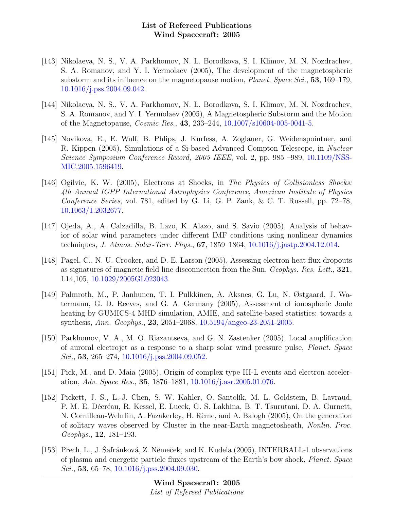- [143] Nikolaeva, N. S., V. A. Parkhomov, N. L. Borodkova, S. I. Klimov, M. N. Nozdrachev, S. A. Romanov, and Y. I. Yermolaev (2005), The development of the magnetospheric substorm and its influence on the magnetopause motion, *Planet. Space Sci.*, 53, 169–179, [10.1016/j.pss.2004.09.042.](http://dx.doi.org/10.1016/j.pss.2004.09.042)
- [144] Nikolaeva, N. S., V. A. Parkhomov, N. L. Borodkova, S. I. Klimov, M. N. Nozdrachev, S. A. Romanov, and Y. I. Yermolaev (2005), A Magnetospheric Substorm and the Motion of the Magnetopause, Cosmic Res., 43, 233–244, [10.1007/s10604-005-0041-5.](http://dx.doi.org/10.1007/s10604-005-0041-5)
- [145] Novikova, E., E. Wulf, B. Phlips, J. Kurfess, A. Zoglauer, G. Weidenspointner, and R. Kippen (2005), Simulations of a Si-based Advanced Compton Telescope, in Nuclear Science Symposium Conference Record, 2005 IEEE, vol. 2, pp. 985 –989, [10.1109/NSS-](http://dx.doi.org/10.1109/NSSMIC.2005.1596419)[MIC.2005.1596419.](http://dx.doi.org/10.1109/NSSMIC.2005.1596419)
- [146] Ogilvie, K. W. (2005), Electrons at Shocks, in The Physics of Collisionless Shocks: 4th Annual IGPP International Astrophysics Conference, American Institute of Physics Conference Series, vol. 781, edited by G. Li, G. P. Zank, & C. T. Russell, pp. 72–78, [10.1063/1.2032677.](http://dx.doi.org/10.1063/1.2032677)
- [147] Ojeda, A., A. Calzadilla, B. Lazo, K. Alazo, and S. Savio (2005), Analysis of behavior of solar wind parameters under different IMF conditions using nonlinear dynamics techniques, J. Atmos. Solar-Terr. Phys., 67, 1859–1864, [10.1016/j.jastp.2004.12.014.](http://dx.doi.org/10.1016/j.jastp.2004.12.014)
- [148] Pagel, C., N. U. Crooker, and D. E. Larson (2005), Assessing electron heat flux dropouts as signatures of magnetic field line disconnection from the Sun, Geophys. Res. Lett., 321, L14,105, [10.1029/2005GL023043.](http://dx.doi.org/10.1029/2005GL023043)
- [149] Palmroth, M., P. Janhunen, T. I. Pulkkinen, A. Aksnes, G. Lu, N. Østgaard, J. Watermann, G. D. Reeves, and G. A. Germany (2005), Assessment of ionospheric Joule heating by GUMICS-4 MHD simulation, AMIE, and satellite-based statistics: towards a synthesis, Ann. Geophys., 23, 2051–2068, [10.5194/angeo-23-2051-2005.](http://dx.doi.org/10.5194/angeo-23-2051-2005)
- [150] Parkhomov, V. A., M. O. Riazantseva, and G. N. Zastenker (2005), Local amplification of auroral electrojet as a response to a sharp solar wind pressure pulse, Planet. Space Sci., 53, 265–274, [10.1016/j.pss.2004.09.052.](http://dx.doi.org/10.1016/j.pss.2004.09.052)
- [151] Pick, M., and D. Maia (2005), Origin of complex type III-L events and electron acceleration, Adv. Space Res., 35, 1876–1881, [10.1016/j.asr.2005.01.076.](http://dx.doi.org/10.1016/j.asr.2005.01.076)
- [152] Pickett, J. S., L.-J. Chen, S. W. Kahler, O. Santolík, M. L. Goldstein, B. Lavraud, P. M. E. Décréau, R. Kessel, E. Lucek, G. S. Lakhina, B. T. Tsurutani, D. A. Gurnett, N. Cornilleau-Wehrlin, A. Fazakerley, H. Rème, and A. Balogh (2005), On the generation of solitary waves observed by Cluster in the near-Earth magnetosheath, Nonlin. Proc. Geophys., 12, 181–193.
- [153] Přech, L., J. Safránková, Z. Němeček, and K. Kudela (2005), INTERBALL-1 observations of plasma and energetic particle fluxes upstream of the Earth's bow shock, Planet. Space Sci., 53, 65–78, [10.1016/j.pss.2004.09.030.](http://dx.doi.org/10.1016/j.pss.2004.09.030)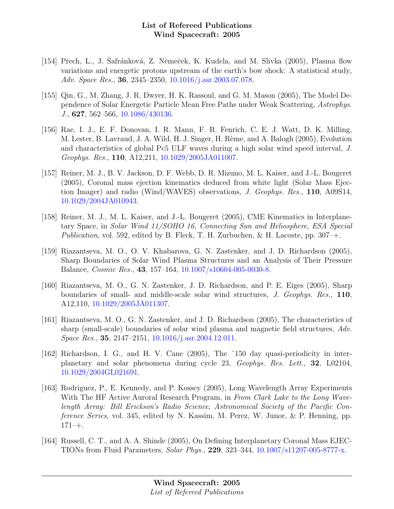- [154] Přech, L., J. Šafránková, Z. Němeček, K. Kudela, and M. Slivka (2005), Plasma flow variations and energetic protons upstream of the earth's bow shock: A statistical study, Adv. Space Res., **36**, 2345–2350, [10.1016/j.asr.2003.07.078.](http://dx.doi.org/10.1016/j.asr.2003.07.078)
- [155] Qin, G., M. Zhang, J. R. Dwyer, H. K. Rassoul, and G. M. Mason (2005), The Model Dependence of Solar Energetic Particle Mean Free Paths under Weak Scattering, Astrophys. J., 627, 562–566, [10.1086/430136.](http://dx.doi.org/10.1086/430136)
- [156] Rae, I. J., E. F. Donovan, I. R. Mann, F. R. Fenrich, C. E. J. Watt, D. K. Milling, M. Lester, B. Lavraud, J. A. Wild, H. J. Singer, H. Rème, and A. Balogh (2005), Evolution and characteristics of global Pc5 ULF waves during a high solar wind speed interval, J. Geophys. Res., 110, A12,211, [10.1029/2005JA011007.](http://dx.doi.org/10.1029/2005JA011007)
- [157] Reiner, M. J., B. V. Jackson, D. F. Webb, D. R. Mizuno, M. L. Kaiser, and J.-L. Bougeret (2005), Coronal mass ejection kinematics deduced from white light (Solar Mass Ejection Imager) and radio (Wind/WAVES) observations, J. Geophys. Res., 110, A09S14, [10.1029/2004JA010943.](http://dx.doi.org/10.1029/2004JA010943)
- [158] Reiner, M. J., M. L. Kaiser, and J.-L. Bougeret (2005), CME Kinematics in Interplanetary Space, in Solar Wind 11/SOHO 16, Connecting Sun and Heliosphere, ESA Special Publication, vol. 592, edited by B. Fleck, T. H. Zurbuchen, & H. Lacoste, pp. 307–+.
- [159] Riazantseva, M. O., O. V. Khabarova, G. N. Zastenker, and J. D. Richardson (2005), Sharp Boundaries of Solar Wind Plasma Structures and an Analysis of Their Pressure Balance, Cosmic Res., 43, 157–164, [10.1007/s10604-005-0030-8.](http://dx.doi.org/10.1007/s10604-005-0030-8)
- [160] Riazantseva, M. O., G. N. Zastenker, J. D. Richardson, and P. E. Eiges (2005), Sharp boundaries of small- and middle-scale solar wind structures, J. Geophys. Res., 110, A12,110, [10.1029/2005JA011307.](http://dx.doi.org/10.1029/2005JA011307)
- [161] Riazantseva, M. O., G. N. Zastenker, and J. D. Richardson (2005), The characteristics of sharp (small-scale) boundaries of solar wind plasma and magnetic field structures, Adv. Space Res., 35, 2147–2151, [10.1016/j.asr.2004.12.011.](http://dx.doi.org/10.1016/j.asr.2004.12.011)
- [162] Richardson, I. G., and H. V. Cane (2005), The ˜150 day quasi-periodicity in interplanetary and solar phenomena during cycle 23, Geophys. Res. Lett., 32, L02104, [10.1029/2004GL021691.](http://dx.doi.org/10.1029/2004GL021691)
- [163] Rodriguez, P., E. Kennedy, and P. Kossey (2005), Long Wavelength Array Experiments With The HF Active Auroral Research Program, in From Clark Lake to the Long Wavelength Array: Bill Erickson's Radio Science, Astronomical Society of the Pacific Conference Series, vol. 345, edited by N. Kassim, M. Perez, W. Junor, & P. Henning, pp.  $171 - +$ .
- [164] Russell, C. T., and A. A. Shinde (2005), On Defining Interplanetary Coronal Mass EJEC-TIONs from Fluid Parameters, Solar Phys., 229, 323–344, [10.1007/s11207-005-8777-x.](http://dx.doi.org/10.1007/s11207-005-8777-x)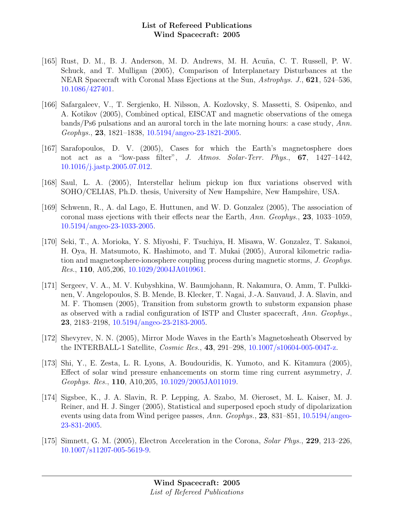- [165] Rust, D. M., B. J. Anderson, M. D. Andrews, M. H. Acuña, C. T. Russell, P. W. Schuck, and T. Mulligan (2005), Comparison of Interplanetary Disturbances at the NEAR Spacecraft with Coronal Mass Ejections at the Sun, Astrophys. J., **621**, 524–536, [10.1086/427401.](http://dx.doi.org/10.1086/427401)
- [166] Safargaleev, V., T. Sergienko, H. Nilsson, A. Kozlovsky, S. Massetti, S. Osipenko, and A. Kotikov (2005), Combined optical, EISCAT and magnetic observations of the omega bands/Ps6 pulsations and an auroral torch in the late morning hours: a case study, Ann. Geophys., 23, 1821–1838, [10.5194/angeo-23-1821-2005.](http://dx.doi.org/10.5194/angeo-23-1821-2005)
- [167] Sarafopoulos, D. V. (2005), Cases for which the Earth's magnetosphere does not act as a "low-pass filter", J. Atmos. Solar-Terr. Phys., 67, 1427–1442, [10.1016/j.jastp.2005.07.012.](http://dx.doi.org/10.1016/j.jastp.2005.07.012)
- [168] Saul, L. A. (2005), Interstellar helium pickup ion flux variations observed with SOHO/CELIAS, Ph.D. thesis, University of New Hampshire, New Hampshire, USA.
- [169] Schwenn, R., A. dal Lago, E. Huttunen, and W. D. Gonzalez (2005), The association of coronal mass ejections with their effects near the Earth, Ann. Geophys., 23, 1033–1059, [10.5194/angeo-23-1033-2005.](http://dx.doi.org/10.5194/angeo-23-1033-2005)
- [170] Seki, T., A. Morioka, Y. S. Miyoshi, F. Tsuchiya, H. Misawa, W. Gonzalez, T. Sakanoi, H. Oya, H. Matsumoto, K. Hashimoto, and T. Mukai (2005), Auroral kilometric radiation and magnetosphere-ionosphere coupling process during magnetic storms, J. Geophys. Res., 110, A05,206, [10.1029/2004JA010961.](http://dx.doi.org/10.1029/2004JA010961)
- [171] Sergeev, V. A., M. V. Kubyshkina, W. Baumjohann, R. Nakamura, O. Amm, T. Pulkkinen, V. Angelopoulos, S. B. Mende, B. Klecker, T. Nagai, J.-A. Sauvaud, J. A. Slavin, and M. F. Thomsen (2005), Transition from substorm growth to substorm expansion phase as observed with a radial configuration of ISTP and Cluster spacecraft, Ann. Geophys., 23, 2183–2198, [10.5194/angeo-23-2183-2005.](http://dx.doi.org/10.5194/angeo-23-2183-2005)
- [172] Shevyrev, N. N. (2005), Mirror Mode Waves in the Earth's Magnetosheath Observed by the INTERBALL-1 Satellite, Cosmic Res., 43, 291–298, [10.1007/s10604-005-0047-z.](http://dx.doi.org/10.1007/s10604-005-0047-z)
- [173] Shi, Y., E. Zesta, L. R. Lyons, A. Boudouridis, K. Yumoto, and K. Kitamura (2005), Effect of solar wind pressure enhancements on storm time ring current asymmetry, J. Geophys. Res., 110, A10,205, [10.1029/2005JA011019.](http://dx.doi.org/10.1029/2005JA011019)
- [174] Sigsbee, K., J. A. Slavin, R. P. Lepping, A. Szabo, M. Øieroset, M. L. Kaiser, M. J. Reiner, and H. J. Singer (2005), Statistical and superposed epoch study of dipolarization events using data from Wind perigee passes, Ann. Geophys.,  $23$ ,  $831-851$ ,  $10.5194/$ angeo-[23-831-2005.](http://dx.doi.org/10.5194/angeo-23-831-2005)
- [175] Simnett, G. M. (2005), Electron Acceleration in the Corona, *Solar Phys.*, **229**, 213–226, [10.1007/s11207-005-5619-9.](http://dx.doi.org/10.1007/s11207-005-5619-9)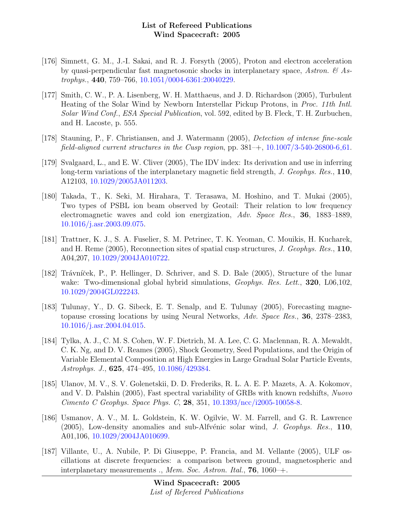- [176] Simnett, G. M., J.-I. Sakai, and R. J. Forsyth (2005), Proton and electron acceleration by quasi-perpendicular fast magnetosonic shocks in interplanetary space, Astron.  $\mathscr{C}$  Astrophys., 440, 759–766, [10.1051/0004-6361:20040229.](http://dx.doi.org/10.1051/0004-6361:20040229)
- [177] Smith, C. W., P. A. Lisenberg, W. H. Matthaeus, and J. D. Richardson (2005), Turbulent Heating of the Solar Wind by Newborn Interstellar Pickup Protons, in Proc. 11th Intl. Solar Wind Conf., ESA Special Publication, vol. 592, edited by B. Fleck, T. H. Zurbuchen, and H. Lacoste, p. 555.
- [178] Stauning, P., F. Christiansen, and J. Watermann (2005), Detection of intense fine-scale field-aligned current structures in the Cusp region, pp.  $381 - +$ ,  $10.1007/3 - 540 - 26800 - 6.61$ .
- [179] Svalgaard, L., and E. W. Cliver (2005), The IDV index: Its derivation and use in inferring long-term variations of the interplanetary magnetic field strength, J. Geophys. Res., 110, A12103, [10.1029/2005JA011203.](http://dx.doi.org/10.1029/2005JA011203)
- [180] Takada, T., K. Seki, M. Hirahara, T. Terasawa, M. Hoshino, and T. Mukai (2005), Two types of PSBL ion beam observed by Geotail: Their relation to low frequency electromagnetic waves and cold ion energization, Adv. Space Res., 36, 1883–1889, [10.1016/j.asr.2003.09.075.](http://dx.doi.org/10.1016/j.asr.2003.09.075)
- [181] Trattner, K. J., S. A. Fuselier, S. M. Petrinec, T. K. Yeoman, C. Mouikis, H. Kucharek, and H. Reme (2005), Reconnection sites of spatial cusp structures, J. Geophys. Res., 110, A04,207, [10.1029/2004JA010722.](http://dx.doi.org/10.1029/2004JA010722)
- [182] Trávníček, P., P. Hellinger, D. Schriver, and S. D. Bale (2005), Structure of the lunar wake: Two-dimensional global hybrid simulations, *Geophys. Res. Lett.*, **320**, L06,102, [10.1029/2004GL022243.](http://dx.doi.org/10.1029/2004GL022243)
- [183] Tulunay, Y., D. G. Sibeck, E. T. Senalp, and E. Tulunay (2005), Forecasting magnetopause crossing locations by using Neural Networks, Adv. Space Res., 36, 2378–2383, [10.1016/j.asr.2004.04.015.](http://dx.doi.org/10.1016/j.asr.2004.04.015)
- [184] Tylka, A. J., C. M. S. Cohen, W. F. Dietrich, M. A. Lee, C. G. Maclennan, R. A. Mewaldt, C. K. Ng, and D. V. Reames (2005), Shock Geometry, Seed Populations, and the Origin of Variable Elemental Composition at High Energies in Large Gradual Solar Particle Events, Astrophys. J., 625, 474–495, [10.1086/429384.](http://dx.doi.org/10.1086/429384)
- [185] Ulanov, M. V., S. V. Golenetskii, D. D. Frederiks, R. L. A. E. P. Mazets, A. A. Kokomov, and V. D. Palshin (2005), Fast spectral variability of GRBs with known redshifts, Nuovo Cimento C Geophys. Space Phys. C, 28, 351, [10.1393/ncc/i2005-10058-8.](http://dx.doi.org/10.1393/ncc/i2005-10058-8)
- [186] Usmanov, A. V., M. L. Goldstein, K. W. Ogilvie, W. M. Farrell, and G. R. Lawrence  $(2005)$ , Low-density anomalies and sub-Alfvénic solar wind, J. Geophys. Res., 110, A01,106, [10.1029/2004JA010699.](http://dx.doi.org/10.1029/2004JA010699)
- [187] Villante, U., A. Nubile, P. Di Giuseppe, P. Francia, and M. Vellante (2005), ULF oscillations at discrete frequencies: a comparison between ground, magnetospheric and interplanetary measurements  $Mem. Soc. Astron. Ital., 76, 1060++.$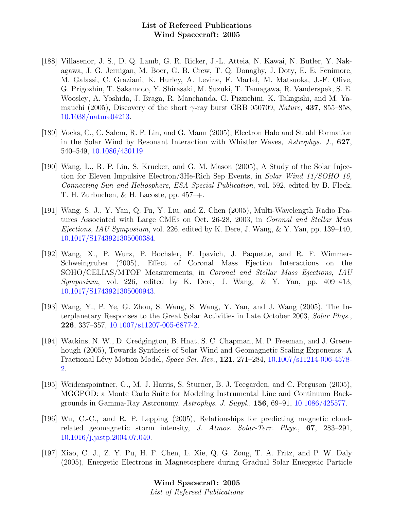- [188] Villasenor, J. S., D. Q. Lamb, G. R. Ricker, J.-L. Atteia, N. Kawai, N. Butler, Y. Nakagawa, J. G. Jernigan, M. Boer, G. B. Crew, T. Q. Donaghy, J. Doty, E. E. Fenimore, M. Galassi, C. Graziani, K. Hurley, A. Levine, F. Martel, M. Matsuoka, J.-F. Olive, G. Prigozhin, T. Sakamoto, Y. Shirasaki, M. Suzuki, T. Tamagawa, R. Vanderspek, S. E. Woosley, A. Yoshida, J. Braga, R. Manchanda, G. Pizzichini, K. Takagishi, and M. Yamauchi (2005), Discovery of the short  $\gamma$ -ray burst GRB 050709, Nature, 437, 855–858, [10.1038/nature04213.](http://dx.doi.org/10.1038/nature04213)
- [189] Vocks, C., C. Salem, R. P. Lin, and G. Mann (2005), Electron Halo and Strahl Formation in the Solar Wind by Resonant Interaction with Whistler Waves, Astrophys. J., 627, 540–549, [10.1086/430119.](http://dx.doi.org/10.1086/430119)
- [190] Wang, L., R. P. Lin, S. Krucker, and G. M. Mason (2005), A Study of the Solar Injection for Eleven Impulsive Electron/3He-Rich Sep Events, in Solar Wind 11/SOHO 16, Connecting Sun and Heliosphere, ESA Special Publication, vol. 592, edited by B. Fleck, T. H. Zurbuchen, & H. Lacoste, pp. 457–+.
- [191] Wang, S. J., Y. Yan, Q. Fu, Y. Liu, and Z. Chen (2005), Multi-Wavelength Radio Features Associated with Large CMEs on Oct. 26-28, 2003, in Coronal and Stellar Mass Ejections, IAU Symposium, vol. 226, edited by K. Dere, J. Wang,  $\&$  Y. Yan, pp. 139–140, [10.1017/S1743921305000384.](http://dx.doi.org/10.1017/S1743921305000384)
- [192] Wang, X., P. Wurz, P. Bochsler, F. Ipavich, J. Paquette, and R. F. Wimmer-Schweingruber (2005), Effect of Coronal Mass Ejection Interactions on the SOHO/CELIAS/MTOF Measurements, in Coronal and Stellar Mass Ejections, IAU Symposium, vol. 226, edited by K. Dere, J. Wang, & Y. Yan, pp. 409–413, [10.1017/S1743921305000943.](http://dx.doi.org/10.1017/S1743921305000943)
- [193] Wang, Y., P. Ye, G. Zhou, S. Wang, S. Wang, Y. Yan, and J. Wang (2005), The Interplanetary Responses to the Great Solar Activities in Late October 2003, Solar Phys., 226, 337–357, [10.1007/s11207-005-6877-2.](http://dx.doi.org/10.1007/s11207-005-6877-2)
- [194] Watkins, N. W., D. Credgington, B. Hnat, S. C. Chapman, M. P. Freeman, and J. Greenhough (2005), Towards Synthesis of Solar Wind and Geomagnetic Scaling Exponents: A Fractional Lévy Motion Model, Space Sci. Rev., 121, 271-284, [10.1007/s11214-006-4578-](http://dx.doi.org/10.1007/s11214-006-4578-2) [2.](http://dx.doi.org/10.1007/s11214-006-4578-2)
- [195] Weidenspointner, G., M. J. Harris, S. Sturner, B. J. Teegarden, and C. Ferguson (2005), MGGPOD: a Monte Carlo Suite for Modeling Instrumental Line and Continuum Backgrounds in Gamma-Ray Astronomy, Astrophys. J. Suppl., 156, 69–91, [10.1086/425577.](http://dx.doi.org/10.1086/425577)
- [196] Wu, C.-C., and R. P. Lepping (2005), Relationships for predicting magnetic cloudrelated geomagnetic storm intensity, J. Atmos. Solar-Terr. Phys., 67, 283–291, [10.1016/j.jastp.2004.07.040.](http://dx.doi.org/10.1016/j.jastp.2004.07.040)
- [197] Xiao, C. J., Z. Y. Pu, H. F. Chen, L. Xie, Q. G. Zong, T. A. Fritz, and P. W. Daly (2005), Energetic Electrons in Magnetosphere during Gradual Solar Energetic Particle